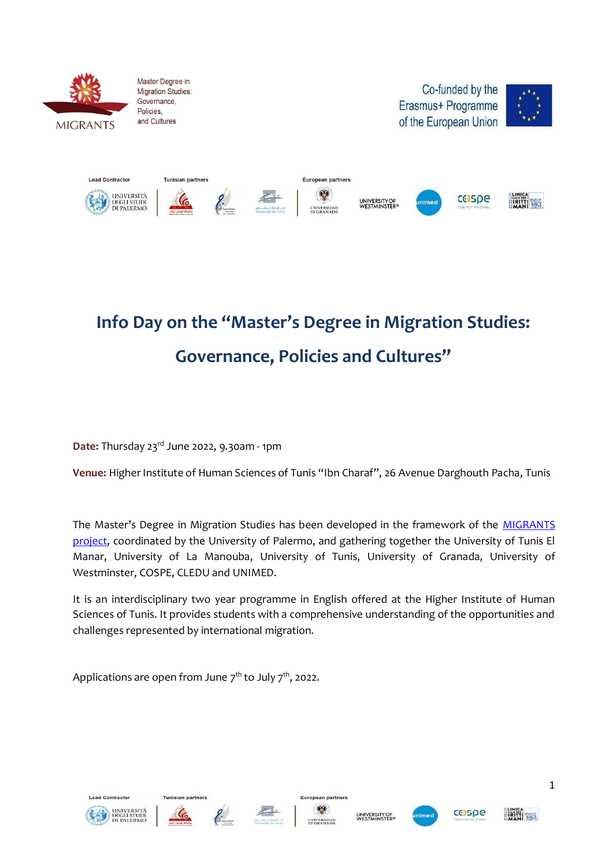

Master Degree in Migration Studies: Governance, Policies and Cultures





## **Info Day on the "Master's Degree in Migration Studies: Governance, Policies and Cultures"**

**Date:** Thursday 23rd June 2022, 9.30am - 1pm

Venue: Higher Institute of Human Sciences of Tunis "Ibn Charaf", 26 Avenue Darghouth Pacha, Tunis

The Master's Degree in Migration Studies has been developed in the framework of the **MIGRANTS** [project, c](https://migrantsproject.eu/)oordinated by the University of Palermo, and gathering together the University of Tunis El Manar, University of La Manouba, University of Tunis, University of Granada, University of Westminster, COSPE, CLEDU and UNIMED.

It is an interdisciplinary two year programme in English offered at the Higher Institute of Human Sciences of Tunis. It provides students with a comprehensive understanding of the opportunities and challenges represented by international migration.

Applications are open from June 7 $^{\rm th}$  to July 7 $^{\rm th}$ , 2022.



**Lead Contracto** 











**DIRITTI SEEK**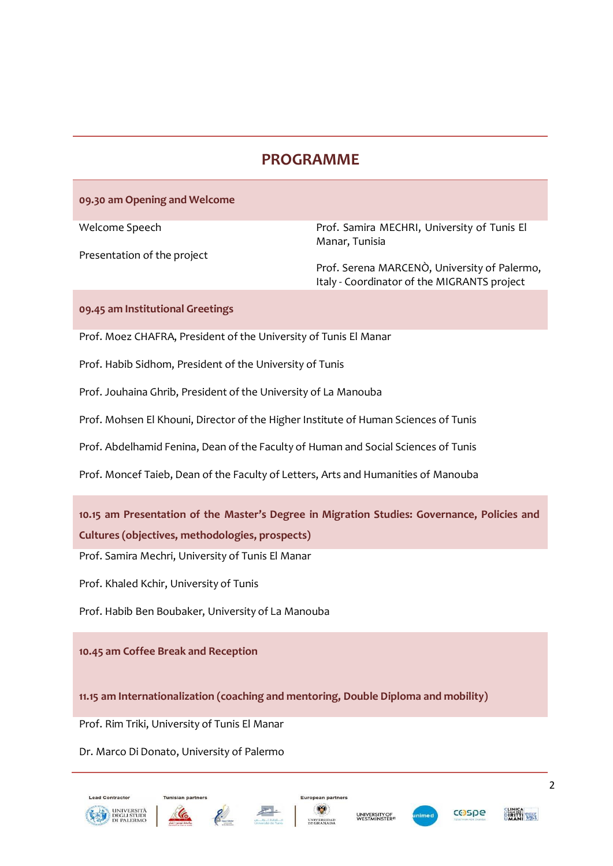## **PROGRAMME**

## **09.30 am Opening and Welcome**

Welcome Speech

Presentation of the project

Prof. Samira MECHRI, University of Tunis El Manar, Tunisia

Prof. Serena MARCENÒ, University of Palermo, Italy - Coordinator of the MIGRANTS project

**09.45 am Institutional Greetings**

Prof. Moez CHAFRA, President of the University of Tunis El Manar

Prof. Habib Sidhom, President of the University of Tunis

Prof. Jouhaina Ghrib, President of the University of La Manouba

Prof. Mohsen El Khouni, Director of the Higher Institute of Human Sciences of Tunis

Prof. Abdelhamid Fenina, Dean of the Faculty of Human and Social Sciences of Tunis

Prof. Moncef Taieb, Dean of the Faculty of Letters, Arts and Humanities of Manouba

**10.15 am Presentation of the Master's Degree in Migration Studies: Governance, Policies and Cultures (objectives, methodologies, prospects)**

Prof. Samira Mechri, University of Tunis El Manar

Prof. Khaled Kchir, University of Tunis

Prof. Habib Ben Boubaker, University of La Manouba

**10.45 am Coffee Break and Reception**

**11.15 am Internationalization (coaching and mentoring, Double Diploma and mobility)**

Prof. Rim Triki, University of Tunis El Manar

Dr. Marco Di Donato, University of Palermo



**Lead Contracto** 







European partners





2

**PIRITI WAY**